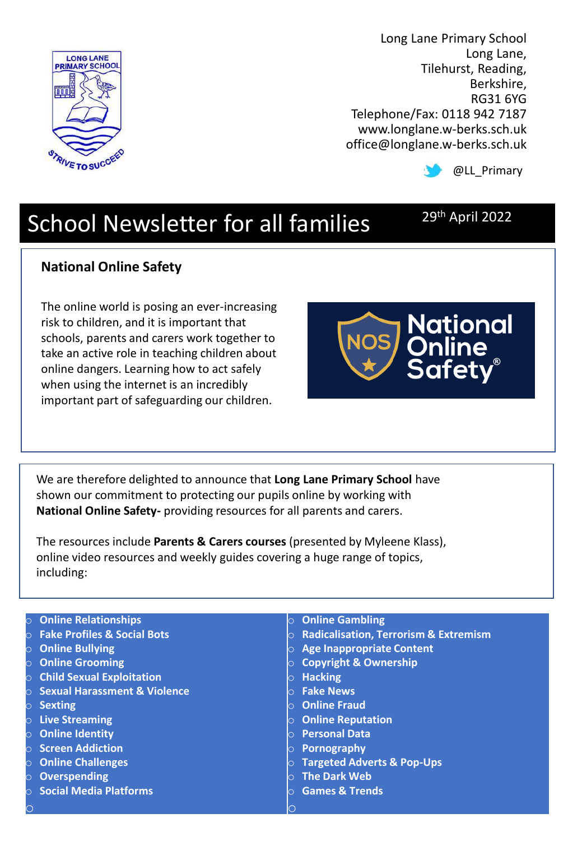

Long Lane Primary School Long Lane, Tilehurst, Reading, Berkshire, RG31 6YG Telephone/Fax: 0118 942 7187 www.longlane.w-berks.sch.uk office@longlane.w-berks.sch.uk

@LL\_Primary

29th April 2022

## School Newsletter for all families

## **National Online Safety**

The online world is posing an ever-increasing risk to children, and it is important that schools, parents and carers work together to take an active role in teaching children about online dangers. Learning how to act safely when using the internet is an incredibly important part of safeguarding our children.



We are therefore delighted to announce that **Long Lane Primary School** have shown our commitment to protecting our pupils online by working with **National Online Safety-** providing resources for all parents and carers.

The resources include **Parents & Carers courses** (presented by Myleene Klass), online video resources and weekly guides covering a huge range of topics, including:

|   | $\circ$ Online Relationships         |          | $\circ$ Online Gambling                          |
|---|--------------------------------------|----------|--------------------------------------------------|
|   | $\circ$ Fake Profiles & Social Bots  | <b>O</b> | <b>Radicalisation, Terrorism &amp; Extremism</b> |
|   | $\circ$ Online Bullying              |          | $\circ$ Age Inappropriate Content                |
|   | <b>Online Grooming</b>               |          | <b>Copyright &amp; Ownership</b>                 |
|   | $\circ$ Child Sexual Exploitation    | $\circ$  | <b>Hacking</b>                                   |
|   | $\circ$ Sexual Harassment & Violence |          | $\circ$ Fake News                                |
|   | $\circ$ Sexting                      |          | $\circ$ Online Fraud                             |
|   | <b>C</b> Live Streaming              |          | $\circ$ Online Reputation                        |
|   | $\circ$ Online Identity              | $\circ$  | <b>Personal Data</b>                             |
|   | $\circ$ Screen Addiction             |          | $\circ$ Pornography                              |
|   | $\circ$ Online Challenges            |          | <b>Targeted Adverts &amp; Pop-Ups</b>            |
|   | $\circ$ Overspending                 | $\circ$  | <b>The Dark Web</b>                              |
|   | $\circ$ Social Media Platforms       |          | <b>Games &amp; Trends</b>                        |
| O |                                      | lO       |                                                  |